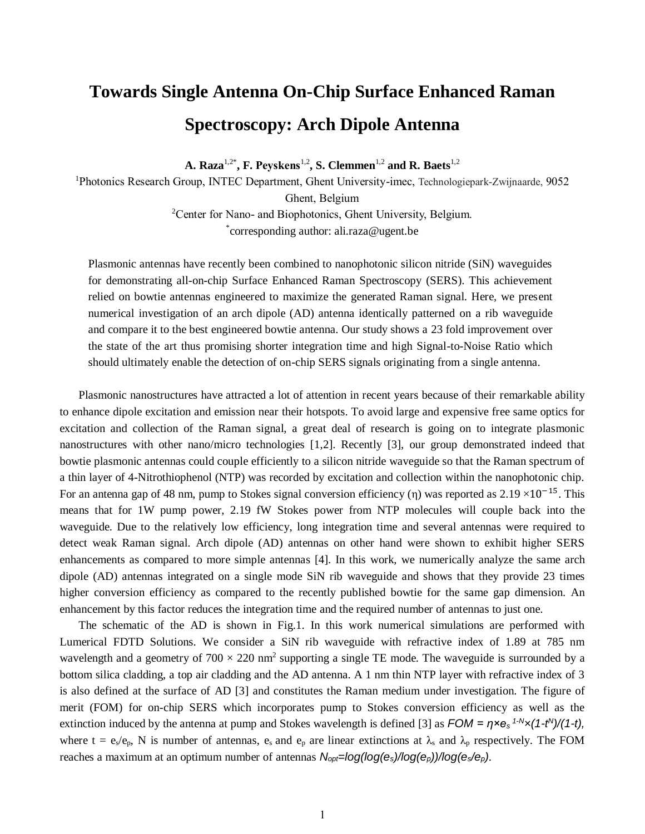## **Towards Single Antenna On-Chip Surface Enhanced Raman Spectroscopy: Arch Dipole Antenna**

**A. Raza**1,2\***, F. Peyskens**1,2**, S. Clemmen**1,2 **and R. Baets**1,2

<sup>1</sup>Photonics Research Group, INTEC Department, Ghent University-imec, Technologiepark-Zwijnaarde, 9052 Ghent, Belgium <sup>2</sup>Center for Nano- and Biophotonics, Ghent University, Belgium.

\* corresponding author: ali.raza@ugent.be

Plasmonic antennas have recently been combined to nanophotonic silicon nitride (SiN) waveguides for demonstrating all-on-chip Surface Enhanced Raman Spectroscopy (SERS). This achievement relied on bowtie antennas engineered to maximize the generated Raman signal. Here, we present numerical investigation of an arch dipole (AD) antenna identically patterned on a rib waveguide and compare it to the best engineered bowtie antenna. Our study shows a 23 fold improvement over the state of the art thus promising shorter integration time and high Signal-to-Noise Ratio which should ultimately enable the detection of on-chip SERS signals originating from a single antenna.

Plasmonic nanostructures have attracted a lot of attention in recent years because of their remarkable ability to enhance dipole excitation and emission near their hotspots. To avoid large and expensive free same optics for excitation and collection of the Raman signal, a great deal of research is going on to integrate plasmonic nanostructures with other nano/micro technologies [1,2]. Recently [3], our group demonstrated indeed that bowtie plasmonic antennas could couple efficiently to a silicon nitride waveguide so that the Raman spectrum of a thin layer of 4-Nitrothiophenol (NTP) was recorded by excitation and collection within the nanophotonic chip. For an antenna gap of 48 nm, pump to Stokes signal conversion efficiency (η) was reported as  $2.19 \times 10^{-15}$ . This means that for 1W pump power, 2.19 fW Stokes power from NTP molecules will couple back into the waveguide. Due to the relatively low efficiency, long integration time and several antennas were required to detect weak Raman signal. Arch dipole (AD) antennas on other hand were shown to exhibit higher SERS enhancements as compared to more simple antennas [4]. In this work, we numerically analyze the same arch dipole (AD) antennas integrated on a single mode SiN rib waveguide and shows that they provide 23 times higher conversion efficiency as compared to the recently published bowtie for the same gap dimension. An enhancement by this factor reduces the integration time and the required number of antennas to just one.

The schematic of the AD is shown in Fig.1. In this work numerical simulations are performed with Lumerical FDTD Solutions. We consider a SiN rib waveguide with refractive index of 1.89 at 785 nm wavelength and a geometry of  $700 \times 220$  nm<sup>2</sup> supporting a single TE mode. The waveguide is surrounded by a bottom silica cladding, a top air cladding and the AD antenna. A 1 nm thin NTP layer with refractive index of 3 is also defined at the surface of AD [3] and constitutes the Raman medium under investigation. The figure of merit (FOM) for on-chip SERS which incorporates pump to Stokes conversion efficiency as well as the extinction induced by the antenna at pump and Stokes wavelength is defined [3] as *FOM = η×e<sup>s</sup> 1-N×(1-t N )/(1-t),*  where  $t = e_s/e_p$ , N is number of antennas,  $e_s$  and  $e_p$  are linear extinctions at  $\lambda_s$  and  $\lambda_p$  respectively. The FOM reaches a maximum at an optimum number of antennas *Nopt=log(log(es)/log(ep))/log(es/ep)*.